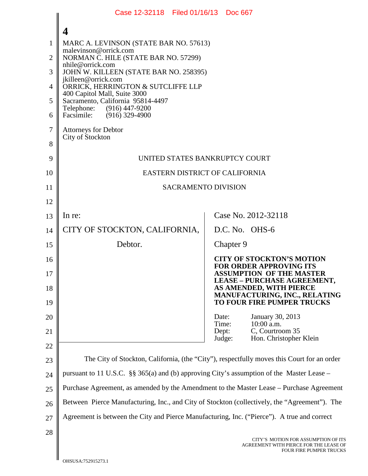|                | Case 12-32118 Filed 01/16/13 Doc 667                                                          |                                                                                                                 |  |
|----------------|-----------------------------------------------------------------------------------------------|-----------------------------------------------------------------------------------------------------------------|--|
|                |                                                                                               |                                                                                                                 |  |
| 1              | MARC A. LEVINSON (STATE BAR NO. 57613)                                                        |                                                                                                                 |  |
| $\overline{2}$ | malevinson@orrick.com<br>NORMAN C. HILE (STATE BAR NO. 57299)                                 |                                                                                                                 |  |
| 3              | nhile@orrick.com<br>JOHN W. KILLEEN (STATE BAR NO. 258395)                                    |                                                                                                                 |  |
| $\overline{4}$ | jkilleen@orrick.com<br>ORRICK, HERRINGTON & SUTCLIFFE LLP                                     |                                                                                                                 |  |
| 5              | 400 Capitol Mall, Suite 3000<br>Sacramento, California 95814-4497                             |                                                                                                                 |  |
| 6              | Telephone: (916) 447-9200<br>$(916)$ 329-4900<br>Facsimile:                                   |                                                                                                                 |  |
| 7              | <b>Attorneys for Debtor</b><br>City of Stockton                                               |                                                                                                                 |  |
| 8              |                                                                                               |                                                                                                                 |  |
| 9              | UNITED STATES BANKRUPTCY COURT                                                                |                                                                                                                 |  |
| 10             | EASTERN DISTRICT OF CALIFORNIA                                                                |                                                                                                                 |  |
| 11             | <b>SACRAMENTO DIVISION</b>                                                                    |                                                                                                                 |  |
| 12             |                                                                                               |                                                                                                                 |  |
| 13             | In re:                                                                                        | Case No. 2012-32118                                                                                             |  |
| 14             | CITY OF STOCKTON, CALIFORNIA,                                                                 | D.C. No. OHS-6                                                                                                  |  |
| 15             | Debtor.                                                                                       | Chapter 9                                                                                                       |  |
| 16             |                                                                                               | <b>CITY OF STOCKTON'S MOTION</b><br><b>FOR ORDER APPROVING ITS</b>                                              |  |
| 17<br>18       |                                                                                               | <b>ASSUMPTION OF THE MASTER</b><br><b>LEASE - PURCHASE AGREEMENT,</b><br>AS AMENDED, WITH PIERCE                |  |
| 19             |                                                                                               | MANUFACTURING, INC., RELATING<br>TO FOUR FIRE PUMPER TRUCKS                                                     |  |
| 20             |                                                                                               | January 30, 2013<br>Date:<br>10:00 a.m.<br>Time:                                                                |  |
| 21             |                                                                                               | C, Courtroom 35<br>Dept:<br>Hon. Christopher Klein<br>Judge:                                                    |  |
| 22             |                                                                                               |                                                                                                                 |  |
| 23             | The City of Stockton, California, (the "City"), respectfully moves this Court for an order    |                                                                                                                 |  |
| 24             | pursuant to 11 U.S.C. §§ 365(a) and (b) approving City's assumption of the Master Lease –     |                                                                                                                 |  |
| 25             | Purchase Agreement, as amended by the Amendment to the Master Lease - Purchase Agreement      |                                                                                                                 |  |
| 26             | Between Pierce Manufacturing, Inc., and City of Stockton (collectively, the "Agreement"). The |                                                                                                                 |  |
| 27             | Agreement is between the City and Pierce Manufacturing, Inc. ("Pierce"). A true and correct   |                                                                                                                 |  |
| 28             |                                                                                               | CITY'S MOTION FOR ASSUMPTION OF ITS<br>AGREEMENT WITH PIERCE FOR THE LEASE OF<br><b>FOUR FIRE PUMPER TRUCKS</b> |  |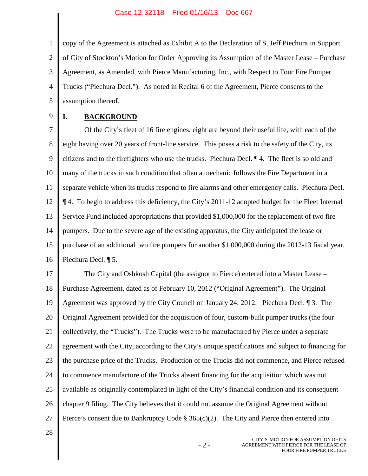1 2 3 4 5 copy of the Agreement is attached as Exhibit A to the Declaration of S. Jeff Piechura in Support of City of Stockton's Motion for Order Approving its Assumption of the Master Lease – Purchase Agreement, as Amended, with Pierce Manufacturing, Inc., with Respect to Four Fire Pumper Trucks ("Piechura Decl."). As noted in Recital 6 of the Agreement, Pierce consents to the assumption thereof.

6

## **I. BACKGROUND**

7 8 9 10 11 12 13 14 15 16 Of the City's fleet of 16 fire engines, eight are beyond their useful life, with each of the eight having over 20 years of front-line service. This poses a risk to the safety of the City, its citizens and to the firefighters who use the trucks. Piechura Decl. ¶ 4. The fleet is so old and many of the trucks in such condition that often a mechanic follows the Fire Department in a separate vehicle when its trucks respond to fire alarms and other emergency calls. Piechura Decl. ¶ 4. To begin to address this deficiency, the City's 2011-12 adopted budget for the Fleet Internal Service Fund included appropriations that provided \$1,000,000 for the replacement of two fire pumpers. Due to the severe age of the existing apparatus, the City anticipated the lease or purchase of an additional two fire pumpers for another \$1,000,000 during the 2012-13 fiscal year. Piechura Decl. ¶ 5.

17 18 19 20 21 22 23 24 25 26 27 The City and Oshkosh Capital (the assignor to Pierce) entered into a Master Lease – Purchase Agreement, dated as of February 10, 2012 ("Original Agreement"). The Original Agreement was approved by the City Council on January 24, 2012. Piechura Decl. ¶ 3. The Original Agreement provided for the acquisition of four, custom-built pumper trucks (the four collectively, the "Trucks"). The Trucks were to be manufactured by Pierce under a separate agreement with the City, according to the City's unique specifications and subject to financing for the purchase price of the Trucks. Production of the Trucks did not commence, and Pierce refused to commence manufacture of the Trucks absent financing for the acquisition which was not available as originally contemplated in light of the City's financial condition and its consequent chapter 9 filing. The City believes that it could not assume the Original Agreement without Pierce's consent due to Bankruptcy Code  $\S 365(c)(2)$ . The City and Pierce then entered into

28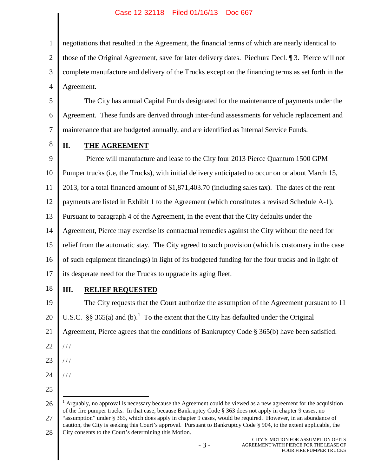## Case 12-32118 Filed 01/16/13 Doc 667

1 2 3 4 negotiations that resulted in the Agreement, the financial terms of which are nearly identical to those of the Original Agreement, save for later delivery dates. Piechura Decl. ¶ 3. Pierce will not complete manufacture and delivery of the Trucks except on the financing terms as set forth in the Agreement.

5 6 7 The City has annual Capital Funds designated for the maintenance of payments under the Agreement. These funds are derived through inter-fund assessments for vehicle replacement and maintenance that are budgeted annually, and are identified as Internal Service Funds.

8

## **II. THE AGREEMENT**

9 10 11 12 13 14 15 16 17 Pierce will manufacture and lease to the City four 2013 Pierce Quantum 1500 GPM Pumper trucks (i.e, the Trucks), with initial delivery anticipated to occur on or about March 15, 2013, for a total financed amount of \$1,871,403.70 (including sales tax). The dates of the rent payments are listed in Exhibit 1 to the Agreement (which constitutes a revised Schedule A-1). Pursuant to paragraph 4 of the Agreement, in the event that the City defaults under the Agreement, Pierce may exercise its contractual remedies against the City without the need for relief from the automatic stay. The City agreed to such provision (which is customary in the case of such equipment financings) in light of its budgeted funding for the four trucks and in light of its desperate need for the Trucks to upgrade its aging fleet.

18

## **III. RELIEF REQUESTED**

19 20 21 The City requests that the Court authorize the assumption of the Agreement pursuant to 11 U.S.C.§§ 365(a) and (b)[.](#page-2-0)<sup>1</sup> To the extent that the City has defaulted under the Original Agreement, Pierce agrees that the conditions of Bankruptcy Code § 365(b) have been satisfied.

- 22 / / /
- 23 / / /

/ / /

- 24
- 25

<span id="page-2-0"></span>26 27 <sup>1</sup> Arguably, no approval is necessary because the Agreement could be viewed as a new agreement for the acquisition of the fire pumper trucks. In that case, because Bankruptcy Code § 363 does not apply in chapter 9 cases, no "assumption" under § 365, which does apply in chapter 9 cases, would be required. However, in an abundance of caution, the City is seeking this Court's approval. Pursuant to Bankruptcy Code § 904, to the extent applicable, the

28 City consents to the Court's determining this Motion.